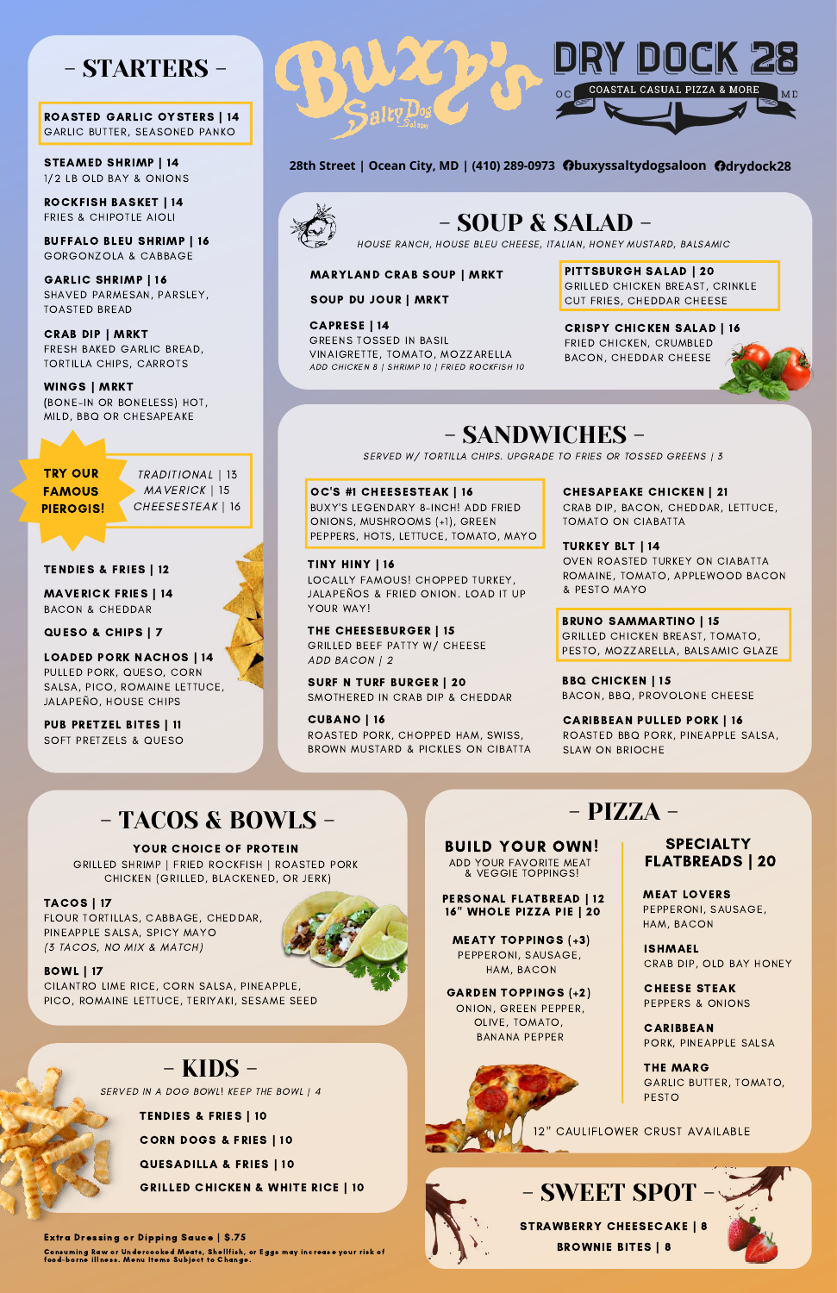Consuming Raw or Undercooked Meats, Shellfish, or Eggs may increase your risk of food-borne illness. Menu Items Subject to Change.

### - KIDS -

SERVED IN A DOG BOWL! KEEP THE BOWL | 4

STRAWBERRY CHEESECAKE | 8 BROWNIE BITES | 8

- SWEET SPOT

### **28th Street | Ocean City, MD | (410) 289-0973 buxyssaltydogsaloon drydock28**





## - SOUP & SALAD -

ROASTED GARLIC OYSTERS | 14 GARLIC BUTTER, SEASONED PANKO

STEAMED SHRIMP | 14 1/2 LB OLD BAY & ONIONS

ROCKFISH BASKET | 14 FRIES & CHIPOTLE AIOLI

BUFFALO BLEU SHRIMP | 16 GORGONZOLA & CABBAGE

GARLIC SHRIMP | 16 SHAVED PARMESAN, PARSLEY, TOASTED BREAD

CRAB DIP | MRKT FRESH BAKED GARLIC BREAD, TORTILLA CHIPS, CARROTS

WINGS | MRKT (BONE-IN OR BONELESS) HOT, MILD, BBQ OR CHESAPEAKE

> TRADITIONAL | 13 MAVERICK | 15 CHEESESTEAK | 16

### TENDIES & FRIES | 12

MAVERICK FRIES | 14 BACON & CHEDDAR

### LOADED PORK NACHOS | 14 PULLED PORK, QUESO, CORN SALSA, PICO, ROMAINE LETTUCE, JALAPEÑO, HOUSE CHIPS

PUB PRETZEL BITES | 11 SOFT PRETZELS & QUESO





QUESO & CHIPS | 7

SOUP DU JOUR | MRKT

MARYLAND CRAB SOUP | MRKT

PITTSBURGH SALAD | 20 GRILLED CHICKEN BREAST, CRINKLE CUT FRIES, CHEDDAR CHEESE

### CRISPY CHICKEN SALAD | 16

FRIED CHICKEN, CRUMBLED BACON, CHEDDAR CHEESE



CAPRESE | 14 GREENS TOSSED IN BASIL VINAIGRETTE, TOMATO, MOZZARELLA ADD CHICKEN 8 | SHRIMP 10 | FRIED ROCKFISH 10

HOUSE RANCH, HOUSE BLEU CHEESE, ITALIAN, HONEY MUSTARD, BALSAMIC

## - SANDWICHES -

OC'S #1 CHEESESTEAK | 16 BUXY'S LEGENDARY 8-INCH! ADD FRIED ONIONS, MUSHROOMS (+1), GREEN PEPPERS, HOTS, LETTUCE, TOMATO, MAYO

> **SPECIALTY** FLATBREADS | 20

SERVED W/ TORTILLA CHIPS. UPGRADE TO FRIES OR TOSSED GREENS | 3

TINY HINY | 16 LOCALLY FAMOUS! CHOPPED TURKEY, JALAPEÑOS & FRIED ONION. LOAD IT UP YOUR WAY!

THE CHEESEBURGER | 15 GRILLED BEEF PATTY W/ CHEESE ADD BACON | 2

SURF N TURF BURGER | 20 SMOTHERED IN CRAB DIP & CHEDDAR BRUNO SAMMARTINO | 15 GRILLED CHICKEN BREAST, TOMATO, PESTO, MOZZARELLA, BALSAMIC GLAZE

BBQ CHICKEN | 15 BACON, BBQ, PROVOLONE CHEESE

CHESAPEAKE CHICKEN | 21

CRAB DIP, BACON, CHEDDAR, LETTUCE, TOMATO ON CIABATTA

TURKEY BLT | 14 OVEN ROASTED TURKEY ON CIABATTA ROMAINE, TOMATO, APPLEWOOD BACON & PESTO MAYO

CUBANO | 16 ROASTED PORK, CHOPPED HAM, SWISS, BROWN MUSTARD & PICKLES ON CIBATTA

CARIBBEAN PULLED PORK | 16 ROASTED BBQ PORK, PINEAPPLE SALSA, SLAW ON BRIOCHE

### - TACOS & BOWLS -

YOUR CHOICE OF PROTEIN

GRILLED SHRIMP | FRIED ROCKFISH | ROASTED PORK CHICKEN (GRILLED, BLACKENED, OR JERK)

### TACOS | 17

FLOUR TORTILLAS, CABBAGE, CHEDDAR, PINEAPPLE SALSA, SPICY MAYO (3 TACOS, NO MIX & MATCH)



#### BOWL | 17

CILANTRO LIME RICE, CORN SALSA, PINEAPPLE, PICO, ROMAINE LETTUCE, TERIYAKI, SESAME SEED - PIZZA -

TENDIES & FRIES | 10 CORN DOGS & FRIES | 10 QUESADILLA & FRIES | 10

GRILLED CHICKEN & WHITE RICE | 10

TRY OUR FAMOUS PIEROGIS!

MEATY TOPPINGS (+3)

PEPPERONI, SAUSAGE, HAM, BACON

### GARDEN TOPPINGS (+2)

ONION, GREEN PEPPER, OLIVE, TOMATO, BANANA PEPPER



PERSONAL FLATBREAD | 12 16" WHOLE PIZZA PIE | 20

BUILD YOUR OWN! ADD YOUR FAVORITE MEAT & VEGGIE TOPPINGS!

> MEAT LOVERS PEPPERONI, SAUSAGE, HAM, BACON

ISHMAEL

CRAB DIP, OLD BAY HONEY

CHEESE STEAK PEPPERS & ONIONS

CARIBBEAN PORK, PINEAPPLE SALSA

THE MARG GARLIC BUTTER, TOMATO, PESTO

12" CAULIFLOWER CRUST AVAILABLE

#### Extra Dressing or Dipping Sauce | \$.75